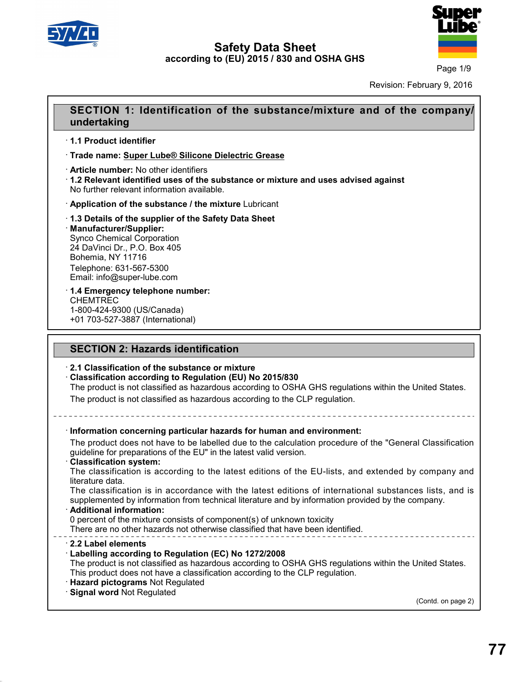

40.1.5

# **Safety Data Sheet according to (EU) 2015 / 830 and OSHA GHS**



Page 1/9

Revision: February 9, 2016

# **SECTION 1: Identification of the substance/mixture and of the company/<br>
Page 1/9<br>
Revision: February 9, 2016<br>
SECTION 1: Identification of the substance/mixture and of the company/<br>
undertaking undertaking SECTION 1: Identifica**<br>
undertaking<br>
1.1 Product identifier<br>
Trade name: Super Lube® Sil · **Trade name: Super Lube® Silicone Dielectric Grease undertaking<br>
∙ 1.1 Product identifier<br>
∙ Trade name: <u>Super Lube® Silicone Dielect</u><br>
∙ Article number: No other identifiers<br>
∙ 1.2 Relevant identified uses of the substar<br>
No further relevant information available. 1.1 Product identifier**<br>• Trade name: Super Lube® Silicone Dielectric Grease<br>• Article number: No other identifiers<br>• 1.2 Relevant identified uses of the substance or mixture and uses advised against<br>No further relevant i **Trade name: Super Lube® Silicone Dielectric Grease**<br> **• Article number:** No other identifiers<br> **• 1.2 Relevant identified uses of the substance or mixture and u<br>
No further relevant information available.<br>
• Application**

· **Manufacturer/Supplier:** No further relevant information available<br> **Application of the substance / the n<br>
1.3 Details of the supplier of the Sat<br>
Manufacturer/Supplier:**<br>
Synco Chemical Corporation<br>
24 DaVinci Dr., P.O. Box 405<br>
Rohemia NY 11716 Application of the substance / the mixture<br>1.3 Details of the supplier of the Safety Da<br>Manufacturer/Supplier:<br>Synco Chemical Corporation<br>24 DaVinci Dr., P.O. Box 405<br>Bohemia, NY 11716<br>Telephone: 631,567,5300 The Salesman of the Salesman<br> **1.3 Details of the supplier of the Manufacturer/Supplier:**<br>
Synco Chemical Corporation<br>
24 DaVinci Dr., P.O. Box 405<br>
Bohemia, NY 11716<br>
Telephone: 631-567-5300<br>
Email: info@super lube com Telephone: 631-567-5300 Email: info@super-lube.com 24 DaVinci Dr., P.O. Box 405<br>Bohemia, NY 11716<br>Telephone: 631-567-5300<br>Email: info@super-lube.com<br>**1.4 Emergency telephone number:**<br>CHEMTREC<br>1-800-424-9300 (US/Canada) Bohemia, NY 11716<br>Telephone: 631-567-5300<br>Email: info@super-lube.com<br>**1.4 Emergency telephone numt**<br>CHEMTREC<br>1-800-424-9300 (US/Canada)<br>+01 703-527-3887 (International)

# $+1.4$  Emergency telephone number:

CHEMTREC<br>1-800-424-9300 (US/Canada) 1.4 Emergency telephone number:<br>CHEMTREC<br>1-800-424-9300 (US/Canada)<br>+01 703-527-3887 (International)<br>**SECTION 2: Hazards identification**<br>2.1 Classification of the substance or mixture

# **2.1 Classification of the substance or mixture<br>
<b>2.1 Classification of the substance or mixture**<br> **2.1 Classification according to Regulation (EU) No 2015/830**<br>
The product is not classified as hazardous according to OSI · **Classification according to Regulation (EU) No 2015/830**

SECTION 2: Hazards identification<br>2.1 Classification of the substance or mixture<br>Classification according to Regulation (EU) No 2015/830<br>The product is not classified as hazardous according to OSHA GHS regulations within t

|  | SECTION 2: Hazards Identification                                                                                                                                                                                                                                                                                                      |  |  |
|--|----------------------------------------------------------------------------------------------------------------------------------------------------------------------------------------------------------------------------------------------------------------------------------------------------------------------------------------|--|--|
|  | 2.1 Classification of the substance or mixture<br>Classification according to Regulation (EU) No 2015/830<br>The product is not classified as hazardous according to OSHA GHS regulations within the United States.<br>The product is not classified as hazardous according to the CLP regulation.                                     |  |  |
|  | _____________________________                                                                                                                                                                                                                                                                                                          |  |  |
|  | · Information concerning particular hazards for human and environment:                                                                                                                                                                                                                                                                 |  |  |
|  | The product does not have to be labelled due to the calculation procedure of the "General Classification"<br>guideline for preparations of the EU" in the latest valid version.<br><b>Classification system:</b>                                                                                                                       |  |  |
|  | The classification is according to the latest editions of the EU-lists, and extended by company and<br>literature data.<br>The classification is in accordance with the latest editions of international substances lists, and is<br>supplemented by information from technical literature and by information provided by the company. |  |  |
|  | · Additional information:                                                                                                                                                                                                                                                                                                              |  |  |
|  | 0 percent of the mixture consists of component(s) of unknown toxicity<br>There are no other hazards not otherwise classified that have been identified.                                                                                                                                                                                |  |  |
|  | 2.2 Label elements<br>Labelling according to Regulation (EC) No 1272/2008<br>The product is not classified as hazardous according to OSHA GHS regulations within the United States.<br>This product does not have a classification according to the CLP regulation.                                                                    |  |  |
|  | <b>Hazard pictograms Not Regulated</b>                                                                                                                                                                                                                                                                                                 |  |  |
|  | Signal word Not Regulated<br>(Contd. on page 2)                                                                                                                                                                                                                                                                                        |  |  |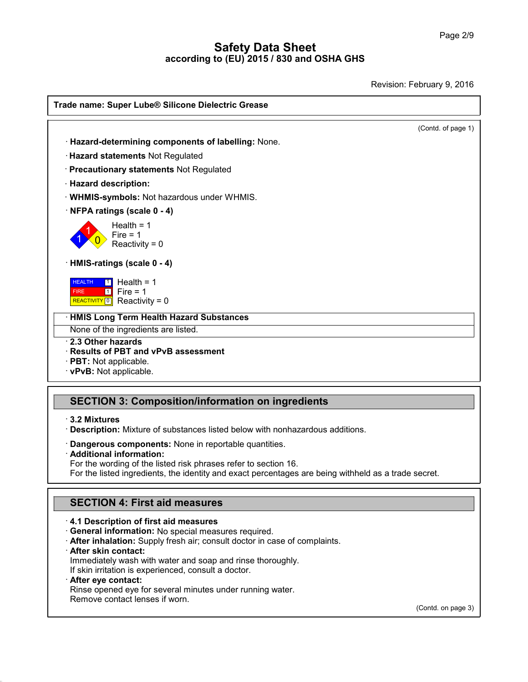Revision: February 9, 2016

| Trade name: Super Lube® Silicone Dielectric Grease       |                    |
|----------------------------------------------------------|--------------------|
|                                                          | (Contd. of page 1) |
| · Hazard-determining components of labelling: None.      |                    |
| · Hazard statements Not Regulated                        |                    |
| · Precautionary statements Not Regulated                 |                    |
| · Hazard description:                                    |                    |
| · WHMIS-symbols: Not hazardous under WHMIS.              |                    |
| · NFPA ratings (scale 0 - 4)                             |                    |
| Health = $1$                                             |                    |
| Fire $= 1$<br>Reactivity = $0$                           |                    |
| · HMIS-ratings (scale 0 - 4)                             |                    |
| Health = $1$<br><b>HEALTH</b><br>$\blacksquare$          |                    |
| $\sqrt{1}$ Fire = 1<br><b>FIRE</b>                       |                    |
| REACTIVITY 0 Reactivity = 0                              |                    |
| <b>HMIS Long Term Health Hazard Substances</b>           |                    |
| None of the ingredients are listed.<br>2.3 Other hazards |                    |
| <b>Results of PBT and vPvB assessment</b>                |                    |
| $\cdot$ PBT: Not applicable.                             |                    |
| · vPvB: Not applicable.                                  |                    |

# **SECTION 3: Composition/information on ingredients**<br> **· 3.2 Mixtures**<br>
· **Description:** Mixture of substances listed below with nonhazardous additions.<br>
· **Dangerous components:** None in reportable quantities.<br>
· **Addition**

3.2 Mixtures<br>Description: Mixture of substances listed below with nonhazardous addition<br>Dangerous components: None in reportable quantities.<br>Additional information:<br>For the wording of the listed risk phrases refer to secti

**Description:** Mixture of substances listed below with nonhazardous additions.<br> **Dangerous components:** None in reportable quantities.<br> **Additional information:**<br>
For the wording of the listed risk phrases refer to section **Example 10** Components: None in reportable quantities.<br> **SECTION 4: First aid measures**<br> **SECTION 4: First aid measures**<br> **SECTION 4: First aid measures** 

- **· General information:** No special measures required.
- **SECTION 4: First aid measures**<br> **· 4.1 Description of first aid measures**<br> **· General information:** No special measures required.<br> **· After inhalation:** Supply fresh air; consult doctor in case of complaints.<br> **· After sk After inhalation:** Supply fresh air; consult doctor in case of complaints.<br> **After skin contact:**<br>
Immediately wash with water and soap and rinse thoroughly.<br>
If skin irritation is experienced, consult a doctor.<br> **After e**

40.1.5

If all Description of first aid measures<br>
If General information: No special measures required.<br> **After inhalation:** Supply fresh air; consult doctor in case of<br> **After skin contact:**<br>
Immediately wash with water and soap After inhalation: Supply fresh air; consult doctor in case of complaints.<br>After skin contact:<br>Immediately wash with water and soap and rinse thoroughly.<br>If skin irritation is experienced, consult a doctor.<br>After eye contac If skin irritation is experienced, consult a doctor.<br> **After eye contact:**<br>
Rinse opened eye for several minutes under run<br>
Remove contact lenses if worn.

(Contd. on page 3)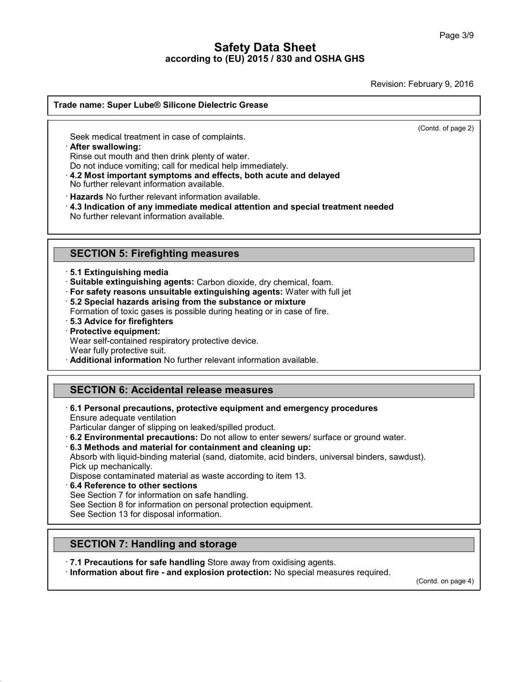Revision: February 9, 2016  $\overline{(\text{Cond. of page 2})}$ 

# **Trade name: Super Lube® Silicone Dielectric Grease Seek medical treatment in case of complaints.**<br>Seek medical treatment in case of complaints.<br>• **After swallowing:**<br>• Rinse out mouth and then drink plenty of water.<br>• Do not induce vomiting: call for medical help immedia

Seek medical treatment in case of complaints.<br> **After swallowing:**<br>
Rinse out mouth and then drink plenty of water.<br>
Do not induce vomiting; call for medical help immediately.<br> **4.2 Most important symptoms and effects, bot** Seek medical treatment in case of complaints.<br> **After swallowing:**<br>
Rinse out mouth and then drink plenty of water.<br>
Do not induce vomiting; call for medical help immediately.<br> **4.2 Most important symptoms and effects, bot** No further relevant information available.

• **Alter swallowing:**<br> **Condition and then drink plenty of water.**<br> **Condition and information available.**<br>
• **4.2 Most important symptoms and effects, both acute and delayed**<br>
No further relevant information available.<br>
• Do not induce vorming; call for medical neip immed.<br>4.2 Most important symptoms and effects, both<br>No further relevant information available.<br>Hazards No further relevant information available.<br>4.3 Indication of any immediat **Hazards** No further relevant information available.<br>4.3 Indication of any immediate medical attention an<br>No further relevant information available.<br>**SECTION 5: Firefighting measures**<br>5.1 Extinguishing media

**SECTION 5: Firefighting measures**<br>
· **5.1 Extinguishing media**<br>
· **Suitable extinguishing agents:** Carbon dioxide, dry chemical, foam.<br>
· For safety reasons unsuitable extinguishing agents: Water with full jet · **Suitable extinguishing agents:** Carbon dioxide, dry chemical, foam.

- **SECTION 5: Firefighting measures**<br> **EXECTION 5: Firefighting agents:** Carbon dioxide, dry chemical, foam.<br> **For safety reasons unsuitable extinguishing agents:** Water with full jet<br> **F5.2 Special hazards arising from the** Formation of toxic gases is carbon dioxide, dry chemical, foam.<br>
For safety reasons unsuitable extinguishing agents: Water with full jet<br>
For safety reasons unsuitable extinguishing agents: Water with full jet<br>
Formation o
- $\cdot$  5.2 Special hazards arising from the substance or mixture.
- Formation of toxic gases is possible during heating or in case of fire.<br> **· 5.3 Advice for firefighters**<br> **· Protective equipment:**<br>
Wear self-contained respiratory protective device.<br>
Wear fully protective suit. **Brauding 19 Separation** from the substance or mixture<br>
Formation of toxic gases is possible during heating or in case of fire.<br> **Brauding 19 Separation**<br> **Protective equipment:**<br>
Wear self-contained respiratory protective
- 
- 

# **SECTION 6: Accidental release measures**

**Additional information No further relevant information available.**<br> **SECTION 6: Accidental release measures**<br> **6.1 Personal precautions, protective equipment and emergen**<br>
Ensure adequate ventilation · **6.1 Personal precautions, protective equipment and emergency procedures**

- 
- 

**SECTION 6: Accidental release measures**<br> **Ensure adequate ventilation**<br>
Particular danger of slipping on leaked/spilled product.<br> **6.2 Environmental precautions:** Do not allow to enter sewers/ surface or ground water.<br> **6** 6.1 Personal precautions, protective equipment and emergency procedures<br>Ensure adequate ventilation<br>Particular danger of slipping on leaked/spilled product.<br>6.2 Environmental precautions: Do not allow to enter sewers/ surf Ensure adequate ventilation<br>Particular danger of slippin<br>**6.2 Environmental precau<br>6.3 Methods and material**<br>Absorb with liquid-binding r<br>Pick up mechanically.<br>Dispose contaminated mat<br>**6.4 Reference to other se** Particular danger of slipping on leaked/spilled product.<br> **6.2 Environmental precautions:** Do not allow to enter sewers/ surface or gro<br> **6.3 Methods and material for containment and cleaning up:**<br>
Absorb with liquid-bindi **6.3 Methods and material for containment and cleani**<br>Absorb with liquid-binding material (sand, diatomite, acid<br>Pick up mechanically.<br>Dispose contaminated material as waste according to ite<br>**6.4 Reference to other section** Absorb with liquid-binding material (sand, diatomite, acid binders, univer<br>Pick up mechanically.<br>Dispose contaminated material as waste according to item 13.<br>6.4 Reference to other sections<br>See Section 7 for information on

40.1.5

Pick up mechanically.<br>Dispose contaminated material as waste accore<br>6.4 Reference to other sections<br>See Section 7 for information on safe handling.<br>See Section 8 for information on personal prote<br>See Section 13 for disposa **See Section 7 for information on safe handling.**<br>
See Section 8 for information on personal protection equisible Section 13 for disposal information.<br> **SECTION 7: Handling and storage**<br> **7.1 Precautions for safe handling** 

**SECTION 7: Handling and storage<br>
• 7.1 Precautions for safe handling** Store away from oxidising agents.<br>
• **Information about fire - and explosion protection:** No special measures required. (Compression protection: No sp

(Contd. on page 4)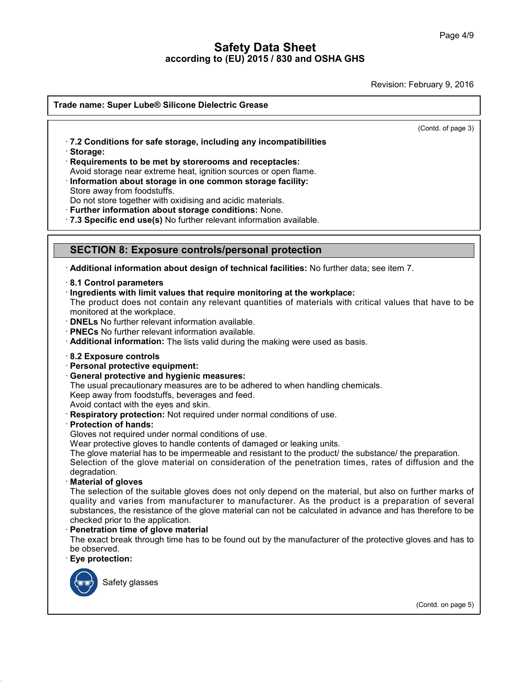Revision: February 9, 2016

| Trade name: Super Lube® Silicone Dielectric Grease                                                                                    |
|---------------------------------------------------------------------------------------------------------------------------------------|
| (Contd. of page 3)                                                                                                                    |
| .7.2 Conditions for safe storage, including any incompatibilities                                                                     |
| · Storage:                                                                                                                            |
| Requirements to be met by storerooms and receptacles:                                                                                 |
| Avoid storage near extreme heat, ignition sources or open flame.                                                                      |
| · Information about storage in one common storage facility:<br>Store away from foodstuffs.                                            |
| Do not store together with oxidising and acidic materials.                                                                            |
| · Further information about storage conditions: None.                                                                                 |
| .7.3 Specific end use(s) No further relevant information available.                                                                   |
|                                                                                                                                       |
| <b>SECTION 8: Exposure controls/personal protection</b>                                                                               |
| · Additional information about design of technical facilities: No further data; see item 7.                                           |
| 8.1 Control parameters                                                                                                                |
| Ingredients with limit values that require monitoring at the workplace:                                                               |
| The product does not contain any relevant quantities of materials with critical values that have to be<br>monitored at the workplace. |
| <b>DNELs</b> No further relevant information available.                                                                               |
| PNECs No further relevant information available.                                                                                      |
| Additional information: The lists valid during the making were used as basis.                                                         |
| 8.2 Exposure controls                                                                                                                 |
| · Personal protective equipment:                                                                                                      |
| General protective and hygienic measures:                                                                                             |
| The usual precautionary measures are to be adhered to when handling chemicals.<br>Keep away from foodstuffs, beverages and feed.      |
| Avoid contact with the eyes and skin.                                                                                                 |
| Respiratory protection: Not required under normal conditions of use.                                                                  |
| <b>Protection of hands:</b>                                                                                                           |
| Gloves not required under normal conditions of use.<br>Wear protective gloves to handle contents of damaged or leaking units.         |
| The glove material has to be impermeable and resistant to the product/ the substance/ the preparation.                                |
| Selection of the glove material on consideration of the penetration times, rates of diffusion and the                                 |
| degradation.                                                                                                                          |
| <b>Material of gloves</b><br>The selection of the suitable gloves does not only depend on the material, but also on further marks of  |
| quality and varies from manufacturer to manufacturer. As the product is a preparation of several                                      |
| substances, the resistance of the glove material can not be calculated in advance and has therefore to be                             |
| checked prior to the application.                                                                                                     |
| Penetration time of glove material                                                                                                    |
| The exact break through time has to be found out by the manufacturer of the protective gloves and has to<br>be observed.              |
| Eye protection:                                                                                                                       |
|                                                                                                                                       |
| Safety glasses                                                                                                                        |
|                                                                                                                                       |
|                                                                                                                                       |

40.1.5

(Contd. on page 5)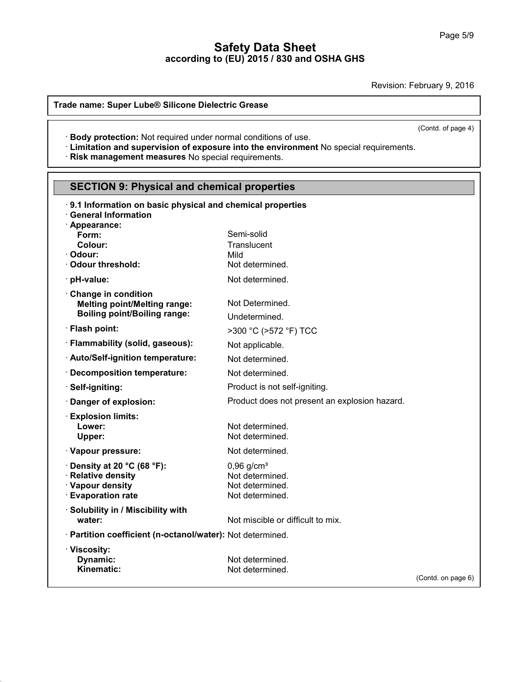Revision: February 9, 2016

### **Trade name: Super Lube® Silicone Dielectric Grease**

40.1.5

**Experiment Conditions:** Texts of the United Under Not required under normal conditions of use.<br>• **Exposure into the environment** No special requirements.<br>• **Risk management measures** No special requirements.

| (Control or page $4)$<br>· Body protection: Not required under normal conditions of use.<br>· Limitation and supervision of exposure into the environment No special requirements.<br>Risk management measures No special requirements. |                                                                                   |                    |  |  |  |  |  |
|-----------------------------------------------------------------------------------------------------------------------------------------------------------------------------------------------------------------------------------------|-----------------------------------------------------------------------------------|--------------------|--|--|--|--|--|
| <b>SECTION 9: Physical and chemical properties</b>                                                                                                                                                                                      |                                                                                   |                    |  |  |  |  |  |
| 9.1 Information on basic physical and chemical properties<br><b>General Information</b><br>· Appearance:                                                                                                                                |                                                                                   |                    |  |  |  |  |  |
| Form:<br>Colour:<br>· Odour:<br>Odour threshold:                                                                                                                                                                                        | Semi-solid<br>Translucent<br>Mild<br>Not determined.                              |                    |  |  |  |  |  |
| · pH-value:                                                                                                                                                                                                                             | Not determined.                                                                   |                    |  |  |  |  |  |
| Change in condition<br><b>Melting point/Melting range:</b><br><b>Boiling point/Boiling range:</b>                                                                                                                                       | Not Determined.<br>Undetermined.                                                  |                    |  |  |  |  |  |
| · Flash point:                                                                                                                                                                                                                          | >300 °C (>572 °F) TCC                                                             |                    |  |  |  |  |  |
| · Flammability (solid, gaseous):                                                                                                                                                                                                        | Not applicable.                                                                   |                    |  |  |  |  |  |
| · Auto/Self-ignition temperature:                                                                                                                                                                                                       | Not determined.                                                                   |                    |  |  |  |  |  |
| <b>Decomposition temperature:</b>                                                                                                                                                                                                       | Not determined.                                                                   |                    |  |  |  |  |  |
| Self-igniting:                                                                                                                                                                                                                          | Product is not self-igniting.                                                     |                    |  |  |  |  |  |
| Danger of explosion:                                                                                                                                                                                                                    | Product does not present an explosion hazard.                                     |                    |  |  |  |  |  |
| <b>Explosion limits:</b><br>Lower:<br>Upper:                                                                                                                                                                                            | Not determined.<br>Not determined.                                                |                    |  |  |  |  |  |
| · Vapour pressure:                                                                                                                                                                                                                      | Not determined.                                                                   |                    |  |  |  |  |  |
| $\cdot$ Density at 20 °C (68 °F):<br>· Relative density<br>· Vapour density<br><b>Evaporation rate</b>                                                                                                                                  | $0,96$ g/cm <sup>3</sup><br>Not determined.<br>Not determined.<br>Not determined. |                    |  |  |  |  |  |
| <b>Solubility in / Miscibility with</b><br>water:                                                                                                                                                                                       | Not miscible or difficult to mix.                                                 |                    |  |  |  |  |  |
| · Partition coefficient (n-octanol/water): Not determined.                                                                                                                                                                              |                                                                                   |                    |  |  |  |  |  |
| · Viscosity:<br>Dynamic:<br>Kinematic:                                                                                                                                                                                                  | Not determined.<br>Not determined.                                                |                    |  |  |  |  |  |
|                                                                                                                                                                                                                                         |                                                                                   | (Contd. on page 6) |  |  |  |  |  |

 $\overline{(\text{Cond. of page 4})}$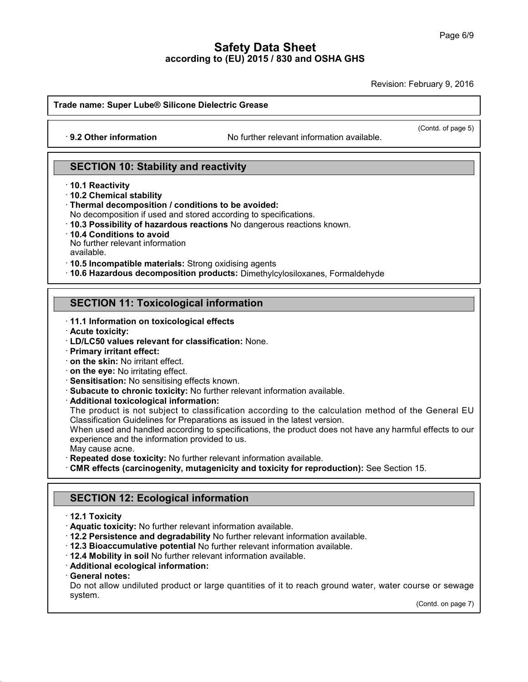Revision: February 9, 2016

**Trade name: Super Lube® Silicone Dielectric Grease ande name: Super Lube® Silicone Dielectric Grease**<br>
• **9.2 Other information** No further relevant information available.

 $\overline{(\text{Cond. of page 5})}$ 

# **SECTION 10: Stability and reactivity**<br> **SECTION 10: Stability and reactivity** · 9.2 Other Information<br>SECTION 10: Stabil<br>10.1 Reactivity<br>10.2 Chemical stability<br>Thermal decomposition **SECTION 10: Stability and**<br>10.1 Reactivity<br>10.2 Chemical stability<br>Thermal decomposition / condition<br>No decomposition if used and storm

**10.1 Reactivity<br>10.2 Chemical stability<br>Thermal decomposition / conditions to be avoided:<br>No decomposition if used and stored according to specifications.<br>10.3 Possibility of hazardous reactions No dangerous reactions kno** 

- **SECTION 10: Stability and reactivity**<br>
↑ **10.2** Chemical stability<br>
↑ Thermal decomposition *l* conditions to be avoided:<br>
No decomposition if used and stored according to specifications.<br>
↑ **10.3** Possibility of hazardo
- 

No further relevant information

available.

· **10.5 Incompatible materials:** Strong oxidising agents

· **10.6 Hazardous decomposition products:** Dimethylcylosiloxanes, Formaldehyde **SECTION 11: Toxicological information**<br>**SECTION 11: Toxicological information**<br>**SECTION 11: Toxicological information**<br>**SECTION 11: Toxicological information** 

# **SECTION 11: Toxicological information**<br>11.1 Information on toxicological effects<br>1. Acute toxicity:<br>1. LD/LC50 values relevant for classification: None. **SECTION 11: Toxicological information**<br>
• **11.1 Information on toxicological effects**<br>
• **Acute toxicity:**<br>
• **LD/LC50 values relevant for classification:** None.<br>
• **Primary irritant effect:**<br>
• **on the skin:** No irritat

- 
- 
- **11.1 Information on toxicological effects**<br>**Acute toxicity:**<br>**LD/LC50 values relevant for classificatio**<br>**Primary irritant effect:**
- 
- 
- 
- 
- 

11.1 Information on toxicological effects<br>
11.1 Information on toxicological effects<br>
1D/LC50 values relevant for classification: None.<br>
1Primary irritant effect:<br>
1 on the skin: No irritating effect.<br>
1 on the eye: No irr on the skin: No irritant effect.<br>
on the eye: No irritating effects<br>
Sensitisation: No sensitising effects known.<br>
Subacute to chronic toxicity: No further relevant information available.<br>
Additional toxicological informat on the eye: No irritating effect.<br>Sensitisation: No sensitising effects known.<br>Subacute to chronic toxicity: No further relevant information available.<br>Additional toxicological information:<br>The product is not subject to cl

Subacute to chronic toxicity: No further relevant information available.<br> **Additional toxicological information:**<br>
The product is not subject to classification according to the calculation method of the General EU<br>
Classif **Subacute to chronic toxicity:** No further relevant information<br> **Additional toxicological information:**<br>
The product is not subject to classification according to tl<br>
Classification Guidelines for Preparations as issued i Additional toxicological information:<br>
The product is not subject to classification according to the calculation method of the General EU<br>
Classification Guidelines for Preparations as issued in the latest version.<br>
When u

- 
- Experience and the information provided to us.<br>
May cause acne.<br> **Repeated dose toxicity:** No further relevant information aver<br> **SECTION 12: Ecological information<br>
12.1 Toxicity**<br> **SECTION 12: Ecological information CMR effects (carcinogenity, mutagenicity and toxicity for reproduction):** See Section 15.<br> **12.1 Toxicity**<br> **12.1 Toxicity**<br> **12.1 Toxicity**<br> **12.1 Toxicity**<br> **12.1 Toxicity**<br> **12.1 Toxicity**<br> **12.1 Toxicity**<br> **12.1 Toxic**

- 
- 
- SECTION 12: Ecological information<br>
12.1 Toxicity<br>
12.1 Toxicity<br>
12.2 Persistence and degradability No further relevant information available.<br>
12.2 Bioaccumulative potential No further relevant information available.<br>
12
- 
- 
- 
- 

40.1.5

**12.2 Persistence and degradability** No further relevant information available.<br> **12.3 Bioaccumulative potential** No further relevant information available.<br> **12.4 Mobility in soil** No further relevant information availabl 12.2 Persistence and degradability No further relevant information available.<br>12.3 Bioaccumulative potential No further relevant information available.<br>12.4 Mobility in soil No further relevant information available.<br>Addit system. Irse or sewage<br>(Contd. on page 7)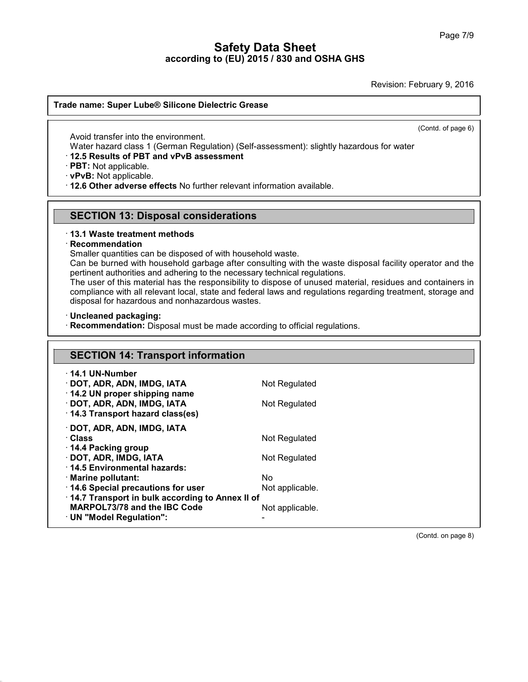Revision: February 9, 2016  $\overline{(\text{Cond. of page 6})}$ 

# **Trade name: Super Lube® Silicone Dielectric Grease** de name: Super Lube® Silicone Dielects<br>
Avoid transfer into the environment.<br>
Water hazard class 1 (German Regulation<br>
12.5 Results of PBT and yPyB assessn

de name: Super Lube® Silicone Dielectric Grease<br>
Word transfer into the environment.<br>
Water hazard class 1 (German Regulation) (Self-assessment): slightly hazardous for water<br>
12.5 Results of PBT and vPvB assessment<br>
PBT: **12.5 Results of PBT and vPvB assessment<br>
PBT: Not applicable.<br>
∴ Water hazard class 1 (German Regulation) (Self-as<br>
∴ PBT: Not applicable.**<br>
∴ **PPT: Not applicable.** Avoid transfer into the environment.<br>
Water hazard class 1 (German Regulation) (Self-assessment): slightly hazardo<br> **· 12.5 Results of PBT and vPvB assessment**<br> **· PBT:** Not applicable.<br> **· 12.6 Other adverse effects** No

**PBT:** Not applicable.<br> **PBT:** Not applicable.<br> **SECTION 13: Disposal considerations**<br> **SECTION 13: Disposal considerations** • **12.6 Other adverse effects No further relevant information available.<br>
• <b>SECTION 13: Disposal considerations**<br>
• **13.1 Waste treatment methods**<br>
• **Recommendation**<br>
Smaller quantities can be disposed of with household

### · **Recommendation**

**SECTION 13: Disposal considerations**<br>13.1 Waste treatment methods<br>Recommendation<br>Smaller quantities can be disposed of with household waste.<br>Can be burned with household garbage after consulting with the waste<br>pertinent a **SECTION 13: Disposal considerations**<br>13.1 Waste treatment methods<br>Recommendation<br>Smaller quantities can be disposed of with household waste.<br>Can be burned with household garbage after consulting with the waste disposal fa **13.1 Waste treatment methods<br>
Recommendation**<br>
Smaller quantities can be disposed of with household waste.<br>
Can be burned with household garbage after consulting with the waste dispos<br>
pertinent authorities and adhering t

13.1 Waste treatment methods<br>
Recommendation<br>
Smaller quantities can be disposed of with household waste.<br>
Can be burned with household garbage after consulting with the waste disposal facility operator and the<br>
pertinent Recommendation<br>
Smaller quantities can be disposed of with household waste.<br>
Can be burned with household garbage after consulting with the waste disposal facility operator and the<br>
pertinent authorities and adhering to th Smaller quantities can be disposed of with household waste.<br>Can be burned with household garbage after consulting with<br>pertinent authorities and adhering to the necessary technical r<br>The user of this material has the respo pertinent authorities and adhering to the necessary technical regulations.<br>The user of this material has the responsibility to dispose of unused material, residues and containers in<br>compliance with all relevant local, stat

40.1.5

| · Uncleaned packaging:<br>· Recommendation: Disposal must be made according to official regulations. |                 |  |  |  |
|------------------------------------------------------------------------------------------------------|-----------------|--|--|--|
|                                                                                                      |                 |  |  |  |
| <b>SECTION 14: Transport information</b>                                                             |                 |  |  |  |
| $\cdot$ 14.1 UN-Number                                                                               |                 |  |  |  |
| · DOT, ADR, ADN, IMDG, IATA<br>14.2 UN proper shipping name                                          | Not Regulated   |  |  |  |
| · DOT, ADR, ADN, IMDG, IATA<br>14.3 Transport hazard class(es)                                       | Not Regulated   |  |  |  |
| · DOT, ADR, ADN, IMDG, IATA                                                                          |                 |  |  |  |
| · Class<br>14.4 Packing group                                                                        | Not Regulated   |  |  |  |
| · DOT, ADR, IMDG, IATA<br>14.5 Environmental hazards:                                                | Not Regulated   |  |  |  |
| · Marine pollutant:                                                                                  | No.             |  |  |  |
| 14.6 Special precautions for user<br>14.7 Transport in bulk according to Annex II of                 | Not applicable. |  |  |  |
| MARPOL73/78 and the IBC Code                                                                         | Not applicable. |  |  |  |
| · UN "Model Regulation":                                                                             |                 |  |  |  |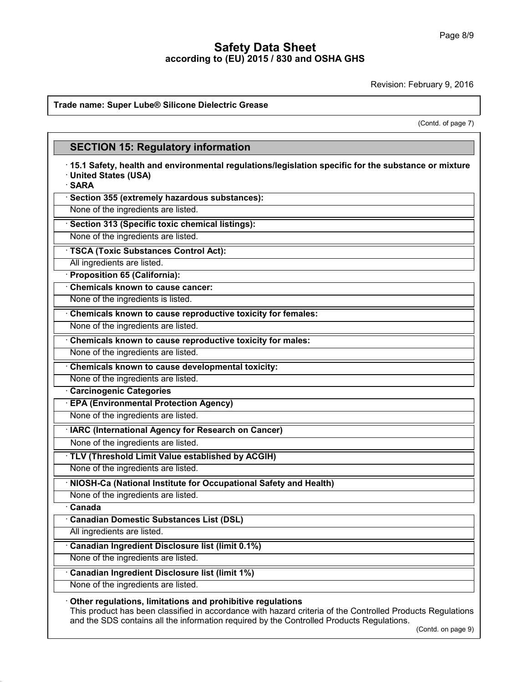Revision: February 9, 2016

### **Trade name: Super Lube® Silicone Dielectric Grease**

40.1.5

bruary 9, 2016<br>(Contd. of page 7)

|                                                                                                                                                                                                                                                                       | (Contd. of page 7) |  |  |
|-----------------------------------------------------------------------------------------------------------------------------------------------------------------------------------------------------------------------------------------------------------------------|--------------------|--|--|
| <b>SECTION 15: Regulatory information</b>                                                                                                                                                                                                                             |                    |  |  |
| 15.1 Safety, health and environmental regulations/legislation specific for the substance or mixture<br>· United States (USA)<br>· SARA                                                                                                                                |                    |  |  |
| · Section 355 (extremely hazardous substances):                                                                                                                                                                                                                       |                    |  |  |
| None of the ingredients are listed.                                                                                                                                                                                                                                   |                    |  |  |
| · Section 313 (Specific toxic chemical listings):                                                                                                                                                                                                                     |                    |  |  |
| None of the ingredients are listed.                                                                                                                                                                                                                                   |                    |  |  |
| · TSCA (Toxic Substances Control Act):                                                                                                                                                                                                                                |                    |  |  |
| All ingredients are listed.                                                                                                                                                                                                                                           |                    |  |  |
| <b>Proposition 65 (California):</b>                                                                                                                                                                                                                                   |                    |  |  |
| <b>Chemicals known to cause cancer:</b>                                                                                                                                                                                                                               |                    |  |  |
| None of the ingredients is listed.                                                                                                                                                                                                                                    |                    |  |  |
| Chemicals known to cause reproductive toxicity for females:                                                                                                                                                                                                           |                    |  |  |
| None of the ingredients are listed.                                                                                                                                                                                                                                   |                    |  |  |
| Chemicals known to cause reproductive toxicity for males:                                                                                                                                                                                                             |                    |  |  |
| None of the ingredients are listed.                                                                                                                                                                                                                                   |                    |  |  |
| Chemicals known to cause developmental toxicity:                                                                                                                                                                                                                      |                    |  |  |
| None of the ingredients are listed.                                                                                                                                                                                                                                   |                    |  |  |
| <b>Carcinogenic Categories</b>                                                                                                                                                                                                                                        |                    |  |  |
| <b>EPA (Environmental Protection Agency)</b>                                                                                                                                                                                                                          |                    |  |  |
| None of the ingredients are listed.                                                                                                                                                                                                                                   |                    |  |  |
| IARC (International Agency for Research on Cancer)                                                                                                                                                                                                                    |                    |  |  |
| None of the ingredients are listed.                                                                                                                                                                                                                                   |                    |  |  |
| · TLV (Threshold Limit Value established by ACGIH)                                                                                                                                                                                                                    |                    |  |  |
| None of the ingredients are listed.                                                                                                                                                                                                                                   |                    |  |  |
| · NIOSH-Ca (National Institute for Occupational Safety and Health)                                                                                                                                                                                                    |                    |  |  |
| None of the ingredients are listed.<br>Canada                                                                                                                                                                                                                         |                    |  |  |
| <b>Canadian Domestic Substances List (DSL)</b>                                                                                                                                                                                                                        |                    |  |  |
| All ingredients are listed.                                                                                                                                                                                                                                           |                    |  |  |
| Canadian Ingredient Disclosure list (limit 0.1%)                                                                                                                                                                                                                      |                    |  |  |
| None of the ingredients are listed.                                                                                                                                                                                                                                   |                    |  |  |
|                                                                                                                                                                                                                                                                       |                    |  |  |
| <b>Canadian Ingredient Disclosure list (limit 1%)</b><br>None of the ingredients are listed.                                                                                                                                                                          |                    |  |  |
|                                                                                                                                                                                                                                                                       |                    |  |  |
| Other regulations, limitations and prohibitive regulations<br>This product has been classified in accordance with hazard criteria of the Controlled Products Regulations<br>and the SDS contains all the information required by the Controlled Products Regulations. | (Contd. on page 9) |  |  |